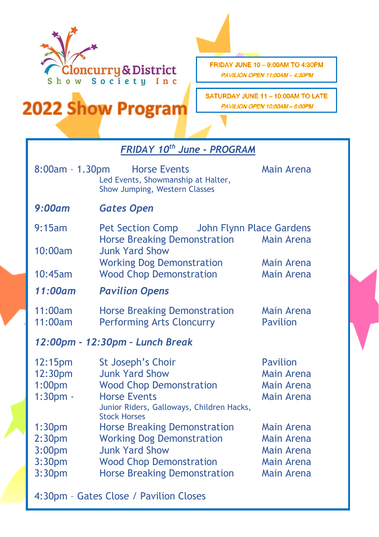

2022 Show Program

FRIDAY JUNE 10 - 9:00AM TO 4:30PM PAVILION OPEN 11:00AM - 4:30PM

SATURDAY JUNE 11 - 10:00AM TO LATE PAVILION OPEN 10:00AM - 6:00PM

| <b>FRIDAY 10th June - PROGRAM</b>      |                                                                                            |                   |  |
|----------------------------------------|--------------------------------------------------------------------------------------------|-------------------|--|
| $8:00am - 1.30pm$                      | <b>Horse Events</b><br>Led Events, Showmanship at Halter,<br>Show Jumping, Western Classes | Main Arena        |  |
| 9:00am                                 | <b>Gates Open</b>                                                                          |                   |  |
| 9:15am                                 | <b>Pet Section Comp</b><br>John Flynn Place Gardens                                        |                   |  |
| 10:00am                                | <b>Horse Breaking Demonstration</b><br><b>Junk Yard Show</b>                               | Main Arena        |  |
|                                        | <b>Working Dog Demonstration</b>                                                           | Main Arena        |  |
| 10:45am                                | <b>Wood Chop Demonstration</b>                                                             | <b>Main Arena</b> |  |
| 11:00am                                | <b>Pavilion Opens</b>                                                                      |                   |  |
| 11:00am                                | <b>Horse Breaking Demonstration</b>                                                        | <b>Main Arena</b> |  |
| 11:00am                                | <b>Performing Arts Cloncurry</b>                                                           | <b>Pavilion</b>   |  |
| 12:00pm - 12:30pm - Lunch Break        |                                                                                            |                   |  |
| 12:15pm                                | St Joseph's Choir                                                                          | <b>Pavilion</b>   |  |
| 12:30pm                                | <b>Junk Yard Show</b>                                                                      | <b>Main Arena</b> |  |
| 1:00 <sub>pm</sub>                     | <b>Wood Chop Demonstration</b>                                                             | <b>Main Arena</b> |  |
| $1:30pm$ .                             | <b>Horse Events</b><br>Junior Riders, Galloways, Children Hacks,<br><b>Stock Horses</b>    | <b>Main Arena</b> |  |
| 1:30 <sub>pm</sub>                     | <b>Horse Breaking Demonstration</b>                                                        | Main Arena        |  |
| 2:30 <sub>pm</sub>                     | <b>Working Dog Demonstration</b>                                                           | Main Arena        |  |
| 3:00 <sub>pm</sub>                     | <b>Junk Yard Show</b>                                                                      | Main Arena        |  |
| 3:30 <sub>pm</sub>                     | <b>Wood Chop Demonstration</b>                                                             | Main Arena        |  |
| 3:30 <sub>pm</sub>                     | <b>Horse Breaking Demonstration</b>                                                        | <b>Main Arena</b> |  |
| 4:30pm - Gates Close / Pavilion Closes |                                                                                            |                   |  |